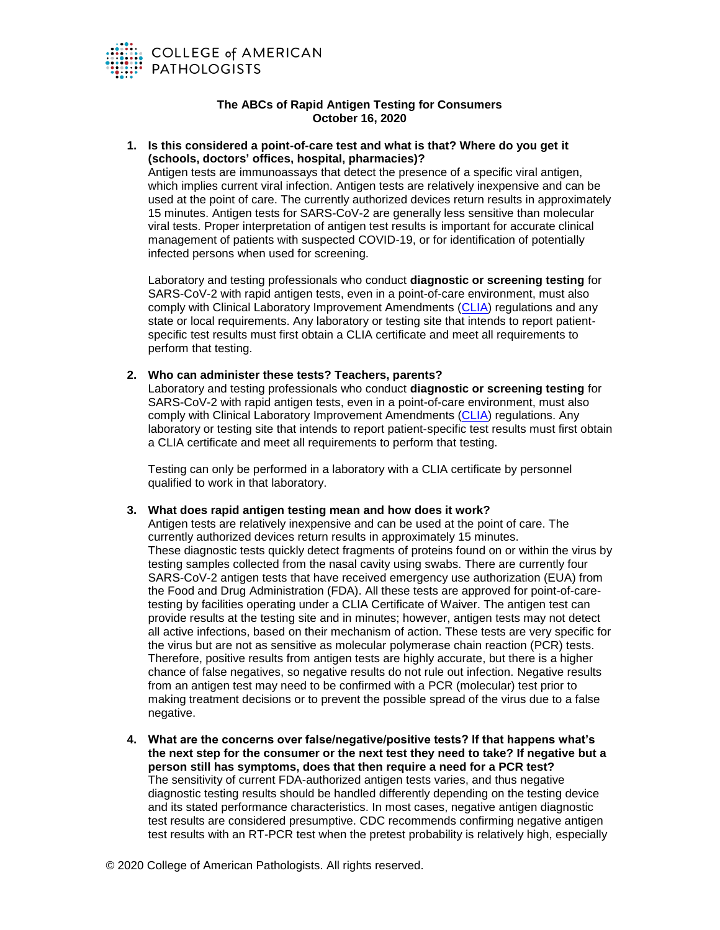

# **The ABCs of Rapid Antigen Testing for Consumers October 16, 2020**

#### **1. Is this considered a point-of-care test and what is that? Where do you get it (schools, doctors' offices, hospital, pharmacies)?**

Antigen tests are immunoassays that detect the presence of a specific viral antigen, which implies current viral infection. Antigen tests are relatively inexpensive and can be used at the point of care. The currently authorized devices return results in approximately 15 minutes. Antigen tests for SARS-CoV-2 are generally less sensitive than molecular viral tests. Proper interpretation of antigen test results is important for accurate clinical management of patients with suspected COVID-19, or for identification of potentially infected persons when used for screening.

Laboratory and testing professionals who conduct **diagnostic or screening testing** for SARS-CoV-2 with rapid antigen tests, even in a point-of-care environment, must also comply with Clinical Laboratory Improvement Amendments [\(CLIA\)](https://www.cdc.gov/clia/index.html) regulations and any state or local requirements. Any laboratory or testing site that intends to report patientspecific test results must first obtain a CLIA certificate and meet all requirements to perform that testing.

## **2. Who can administer these tests? Teachers, parents?**

Laboratory and testing professionals who conduct **diagnostic or screening testing** for SARS-CoV-2 with rapid antigen tests, even in a point-of-care environment, must also comply with Clinical Laboratory Improvement Amendments [\(CLIA\)](https://www.cdc.gov/clia/index.html) regulations. Any laboratory or testing site that intends to report patient-specific test results must first obtain a CLIA certificate and meet all requirements to perform that testing.

Testing can only be performed in a laboratory with a CLIA certificate by personnel qualified to work in that laboratory.

# **3. What does rapid antigen testing mean and how does it work?**

Antigen tests are relatively inexpensive and can be used at the point of care. The currently authorized devices return results in approximately 15 minutes. These diagnostic tests quickly detect fragments of proteins found on or within the virus by testing samples collected from the nasal cavity using swabs. There are currently four SARS-CoV-2 antigen tests that have received emergency use authorization (EUA) from the Food and Drug Administration (FDA). All these tests are approved for point-of-caretesting by facilities operating under a CLIA Certificate of Waiver. The antigen test can provide results at the testing site and in minutes; however, antigen tests may not detect all active infections, based on their mechanism of action. These tests are very specific for the virus but are not as sensitive as molecular polymerase chain reaction (PCR) tests. Therefore, positive results from antigen tests are highly accurate, but there is a higher chance of false negatives, so negative results do not rule out infection. Negative results from an antigen test may need to be confirmed with a PCR (molecular) test prior to making treatment decisions or to prevent the possible spread of the virus due to a false negative.

**4. What are the concerns over false/negative/positive tests? If that happens what's the next step for the consumer or the next test they need to take? If negative but a person still has symptoms, does that then require a need for a PCR test?** The sensitivity of current FDA-authorized antigen tests varies, and thus negative diagnostic testing results should be handled differently depending on the testing device and its stated performance characteristics. In most cases, negative antigen diagnostic test results are considered presumptive. CDC recommends confirming negative antigen test results with an RT-PCR test when the pretest probability is relatively high, especially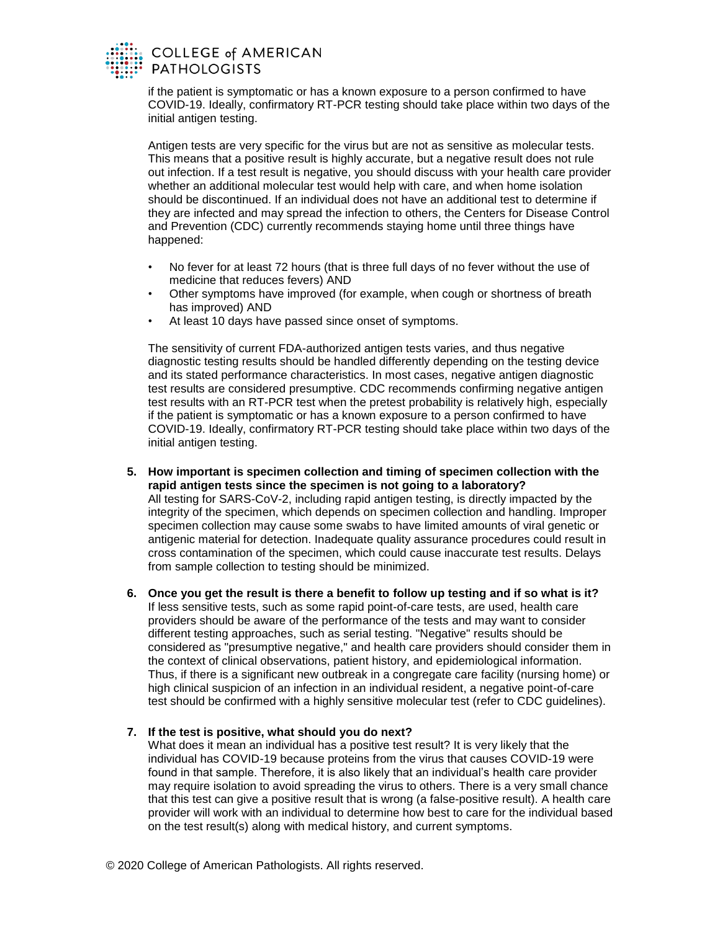

if the patient is symptomatic or has a known exposure to a person confirmed to have COVID-19. Ideally, confirmatory RT-PCR testing should take place within two days of the initial antigen testing.

Antigen tests are very specific for the virus but are not as sensitive as molecular tests. This means that a positive result is highly accurate, but a negative result does not rule out infection. If a test result is negative, you should discuss with your health care provider whether an additional molecular test would help with care, and when home isolation should be discontinued. If an individual does not have an additional test to determine if they are infected and may spread the infection to others, the Centers for Disease Control and Prevention (CDC) currently recommends staying home until three things have happened:

- No fever for at least 72 hours (that is three full days of no fever without the use of medicine that reduces fevers) AND
- Other symptoms have improved (for example, when cough or shortness of breath has improved) AND
- At least 10 days have passed since onset of symptoms.

The sensitivity of current FDA-authorized antigen tests varies, and thus negative diagnostic testing results should be handled differently depending on the testing device and its stated performance characteristics. In most cases, negative antigen diagnostic test results are considered presumptive. CDC recommends confirming negative antigen test results with an RT-PCR test when the pretest probability is relatively high, especially if the patient is symptomatic or has a known exposure to a person confirmed to have COVID-19. Ideally, confirmatory RT-PCR testing should take place within two days of the initial antigen testing.

- **5. How important is specimen collection and timing of specimen collection with the rapid antigen tests since the specimen is not going to a laboratory?**  All testing for SARS-CoV-2, including rapid antigen testing, is directly impacted by the integrity of the specimen, which depends on specimen collection and handling. Improper specimen collection may cause some swabs to have limited amounts of viral genetic or antigenic material for detection. Inadequate quality assurance procedures could result in cross contamination of the specimen, which could cause inaccurate test results. Delays from sample collection to testing should be minimized.
- **6. Once you get the result is there a benefit to follow up testing and if so what is it?** If less sensitive tests, such as some rapid point-of-care tests, are used, health care providers should be aware of the performance of the tests and may want to consider different testing approaches, such as serial testing. "Negative" results should be considered as "presumptive negative," and health care providers should consider them in the context of clinical observations, patient history, and epidemiological information. Thus, if there is a significant new outbreak in a congregate care facility (nursing home) or high clinical suspicion of an infection in an individual resident, a negative point-of-care test should be confirmed with a highly sensitive molecular test (refer to CDC guidelines).
- **7. If the test is positive, what should you do next?**

What does it mean an individual has a positive test result? It is very likely that the individual has COVID-19 because proteins from the virus that causes COVID-19 were found in that sample. Therefore, it is also likely that an individual's health care provider may require isolation to avoid spreading the virus to others. There is a very small chance that this test can give a positive result that is wrong (a false-positive result). A health care provider will work with an individual to determine how best to care for the individual based on the test result(s) along with medical history, and current symptoms.